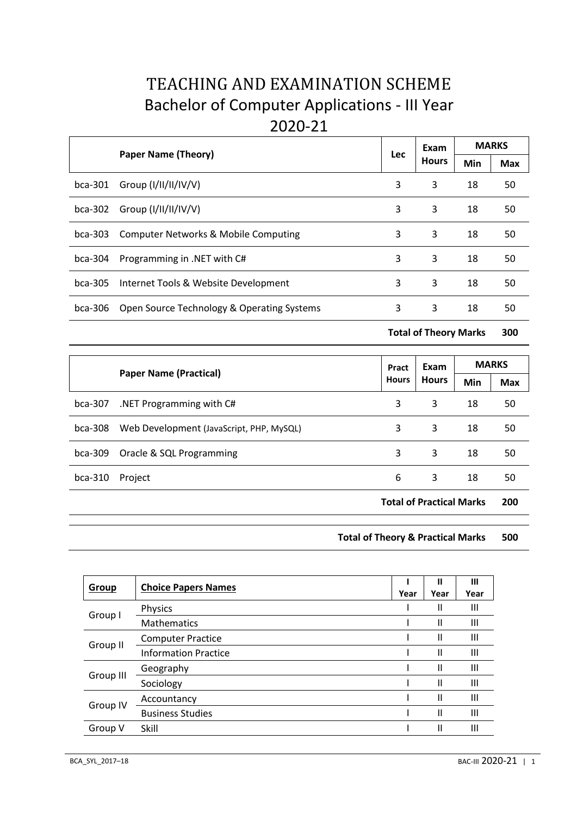## TEACHING AND EXAMINATION SCHEME Bachelor of Computer Applications - III Year 2020-21

|           | <b>Paper Name (Theory)</b>                      | Lec | Exam<br><b>Hours</b> | <b>MARKS</b> |            |
|-----------|-------------------------------------------------|-----|----------------------|--------------|------------|
|           |                                                 |     |                      | Min          | <b>Max</b> |
| $bca-301$ | Group $(I/II/II/IV/V)$                          | 3   | 3                    | 18           | 50         |
| $bca-302$ | Group $(I/II/II/IV/V)$                          | 3   | 3                    | 18           | 50         |
| $bca-303$ | <b>Computer Networks &amp; Mobile Computing</b> | 3   | 3                    | 18           | 50         |
| $bca-304$ | Programming in .NET with C#                     | 3   | 3                    | 18           | 50         |
| $bca-305$ | Internet Tools & Website Development            | 3   | 3                    | 18           | 50         |
| $bca-306$ | Open Source Technology & Operating Systems      | 3   | 3                    | 18           | 50         |

**Total of Theory Marks 300**

|           |                                          | Pract<br><b>Hours</b> | Exam<br><b>Hours</b>            | <b>MARKS</b> |            |
|-----------|------------------------------------------|-----------------------|---------------------------------|--------------|------------|
|           | <b>Paper Name (Practical)</b>            |                       |                                 | Min          | <b>Max</b> |
| $bca-307$ | .NET Programming with C#                 | 3                     | 3                               | 18           | 50         |
| $bca-308$ | Web Development (JavaScript, PHP, MySQL) | 3                     | 3                               | 18           | 50         |
| $bca-309$ | Oracle & SQL Programming                 | 3                     | 3                               | 18           | 50         |
| $bca-310$ | Project                                  | 6                     | 3                               | 18           | 50         |
|           |                                          |                       | <b>Total of Practical Marks</b> |              | 200        |

**Total of Theory & Practical Marks 500**

| <b>Group</b> | <b>Choice Papers Names</b>  |      | Ш             | Ш    |
|--------------|-----------------------------|------|---------------|------|
|              |                             | Year | Year          | Year |
|              | Physics                     |      | $\mathsf{I}$  | Ш    |
| Group I      | <b>Mathematics</b>          |      | $\mathsf{II}$ | Ш    |
|              | <b>Computer Practice</b>    |      | $\mathsf{II}$ | Ш    |
| Group II     | <b>Information Practice</b> |      | $\mathsf{II}$ | Ш    |
|              | Geography                   |      | $\mathsf{II}$ | Ш    |
| Group III    | Sociology                   |      | $\mathsf{II}$ | Ш    |
| Group IV     | Accountancy                 |      | $\mathsf{II}$ | Ш    |
|              | <b>Business Studies</b>     |      | $\mathsf{II}$ | Ш    |
| Group V      | Skill                       |      | Ш             | Ш    |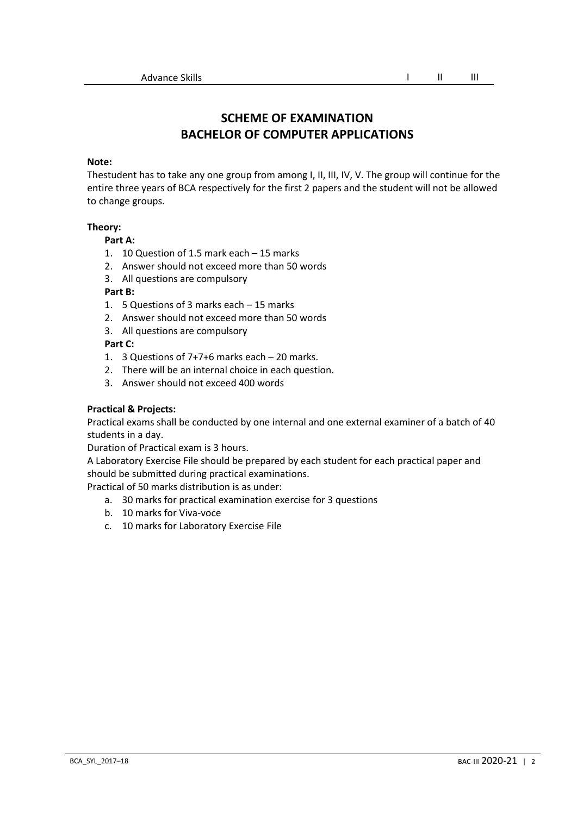## **SCHEME OF EXAMINATION BACHELOR OF COMPUTER APPLICATIONS**

## **Note:**

Thestudent has to take any one group from among I, II, III, IV, V. The group will continue for the entire three years of BCA respectively for the first 2 papers and the student will not be allowed to change groups.

#### **Theory:**

#### **Part A:**

- 1. 10 Question of 1.5 mark each 15 marks
- 2. Answer should not exceed more than 50 words
- 3. All questions are compulsory

## **Part B:**

- 1. 5 Questions of 3 marks each 15 marks
- 2. Answer should not exceed more than 50 words
- 3. All questions are compulsory

## **Part C:**

- 1. 3 Questions of 7+7+6 marks each 20 marks.
- 2. There will be an internal choice in each question.
- 3. Answer should not exceed 400 words

## **Practical & Projects:**

Practical exams shall be conducted by one internal and one external examiner of a batch of 40 students in a day.

Duration of Practical exam is 3 hours.

A Laboratory Exercise File should be prepared by each student for each practical paper and should be submitted during practical examinations.

Practical of 50 marks distribution is as under:

- a. 30 marks for practical examination exercise for 3 questions
- b. 10 marks for Viva-voce
- c. 10 marks for Laboratory Exercise File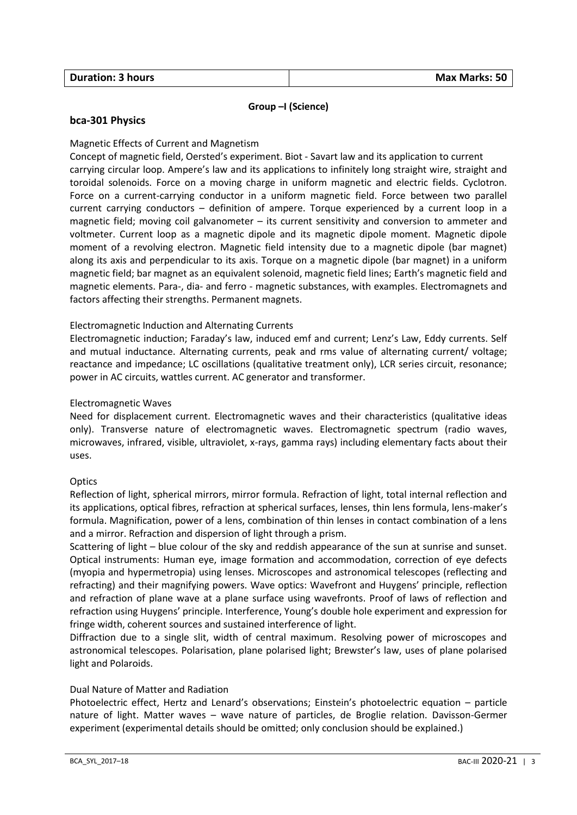## **Group –I (Science)**

#### **bca-301 Physics**

#### Magnetic Effects of Current and Magnetism

Concept of magnetic field, Oersted's experiment. Biot - Savart law and its application to current carrying circular loop. Ampere's law and its applications to infinitely long straight wire, straight and toroidal solenoids. Force on a moving charge in uniform magnetic and electric fields. Cyclotron. Force on a current-carrying conductor in a uniform magnetic field. Force between two parallel current carrying conductors – definition of ampere. Torque experienced by a current loop in a magnetic field; moving coil galvanometer – its current sensitivity and conversion to ammeter and voltmeter. Current loop as a magnetic dipole and its magnetic dipole moment. Magnetic dipole moment of a revolving electron. Magnetic field intensity due to a magnetic dipole (bar magnet) along its axis and perpendicular to its axis. Torque on a magnetic dipole (bar magnet) in a uniform magnetic field; bar magnet as an equivalent solenoid, magnetic field lines; Earth's magnetic field and magnetic elements. Para-, dia- and ferro - magnetic substances, with examples. Electromagnets and factors affecting their strengths. Permanent magnets.

#### Electromagnetic Induction and Alternating Currents

Electromagnetic induction; Faraday's law, induced emf and current; Lenz's Law, Eddy currents. Self and mutual inductance. Alternating currents, peak and rms value of alternating current/ voltage; reactance and impedance; LC oscillations (qualitative treatment only), LCR series circuit, resonance; power in AC circuits, wattles current. AC generator and transformer.

#### Electromagnetic Waves

Need for displacement current. Electromagnetic waves and their characteristics (qualitative ideas only). Transverse nature of electromagnetic waves. Electromagnetic spectrum (radio waves, microwaves, infrared, visible, ultraviolet, x-rays, gamma rays) including elementary facts about their uses.

#### **Optics**

Reflection of light, spherical mirrors, mirror formula. Refraction of light, total internal reflection and its applications, optical fibres, refraction at spherical surfaces, lenses, thin lens formula, lens-maker's formula. Magnification, power of a lens, combination of thin lenses in contact combination of a lens and a mirror. Refraction and dispersion of light through a prism.

Scattering of light – blue colour of the sky and reddish appearance of the sun at sunrise and sunset. Optical instruments: Human eye, image formation and accommodation, correction of eye defects (myopia and hypermetropia) using lenses. Microscopes and astronomical telescopes (reflecting and refracting) and their magnifying powers. Wave optics: Wavefront and Huygens' principle, reflection and refraction of plane wave at a plane surface using wavefronts. Proof of laws of reflection and refraction using Huygens' principle. Interference, Young's double hole experiment and expression for fringe width, coherent sources and sustained interference of light.

Diffraction due to a single slit, width of central maximum. Resolving power of microscopes and astronomical telescopes. Polarisation, plane polarised light; Brewster's law, uses of plane polarised light and Polaroids.

#### Dual Nature of Matter and Radiation

Photoelectric effect, Hertz and Lenard's observations; Einstein's photoelectric equation – particle nature of light. Matter waves – wave nature of particles, de Broglie relation. Davisson-Germer experiment (experimental details should be omitted; only conclusion should be explained.)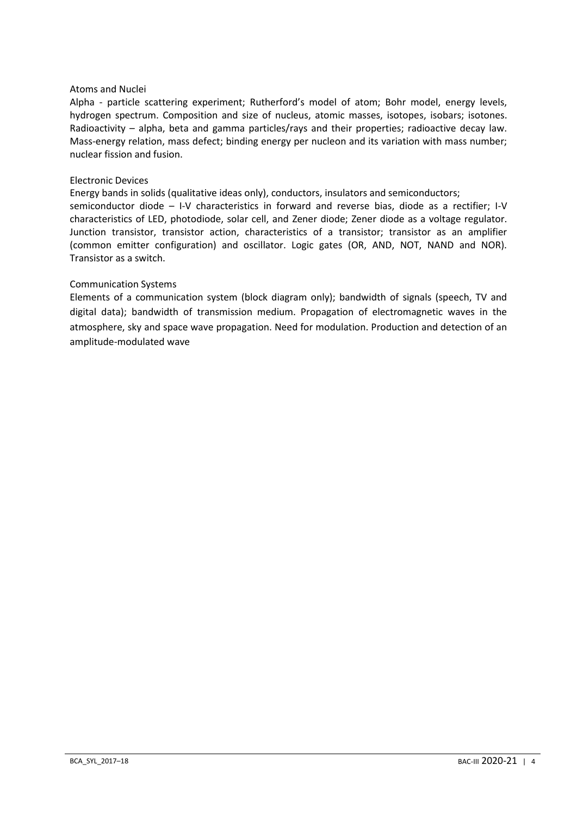## Atoms and Nuclei

Alpha - particle scattering experiment; Rutherford's model of atom; Bohr model, energy levels, hydrogen spectrum. Composition and size of nucleus, atomic masses, isotopes, isobars; isotones. Radioactivity – alpha, beta and gamma particles/rays and their properties; radioactive decay law. Mass-energy relation, mass defect; binding energy per nucleon and its variation with mass number; nuclear fission and fusion.

## Electronic Devices

Energy bands in solids (qualitative ideas only), conductors, insulators and semiconductors; semiconductor diode – I-V characteristics in forward and reverse bias, diode as a rectifier; I-V characteristics of LED, photodiode, solar cell, and Zener diode; Zener diode as a voltage regulator. Junction transistor, transistor action, characteristics of a transistor; transistor as an amplifier (common emitter configuration) and oscillator. Logic gates (OR, AND, NOT, NAND and NOR). Transistor as a switch.

## Communication Systems

Elements of a communication system (block diagram only); bandwidth of signals (speech, TV and digital data); bandwidth of transmission medium. Propagation of electromagnetic waves in the atmosphere, sky and space wave propagation. Need for modulation. Production and detection of an amplitude-modulated wave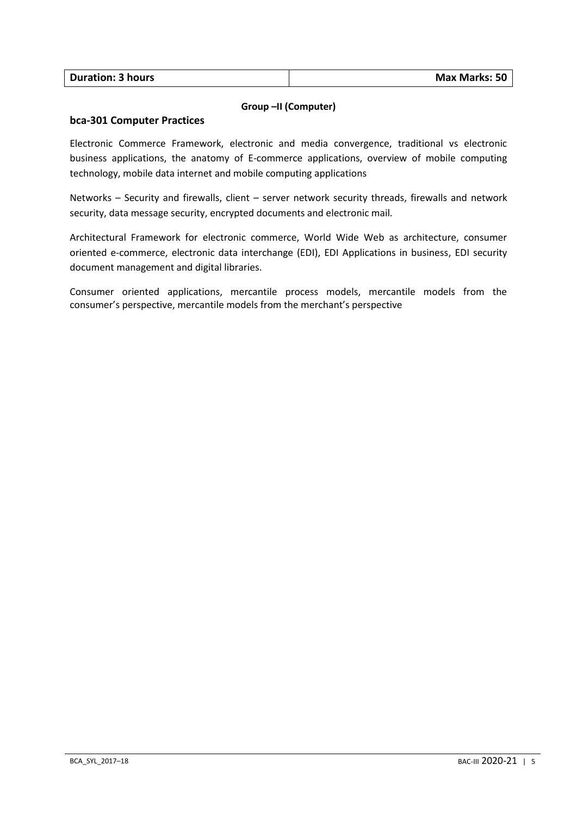| <b>Duration: 3 hours</b> | <b>Max Marks: 50</b> |
|--------------------------|----------------------|
|                          |                      |

## **Group –II (Computer)**

## **bca-301 Computer Practices**

Electronic Commerce Framework, electronic and media convergence, traditional vs electronic business applications, the anatomy of E-commerce applications, overview of mobile computing technology, mobile data internet and mobile computing applications

Networks – Security and firewalls, client – server network security threads, firewalls and network security, data message security, encrypted documents and electronic mail.

Architectural Framework for electronic commerce, World Wide Web as architecture, consumer oriented e-commerce, electronic data interchange (EDI), EDI Applications in business, EDI security document management and digital libraries.

Consumer oriented applications, mercantile process models, mercantile models from the consumer's perspective, mercantile models from the merchant's perspective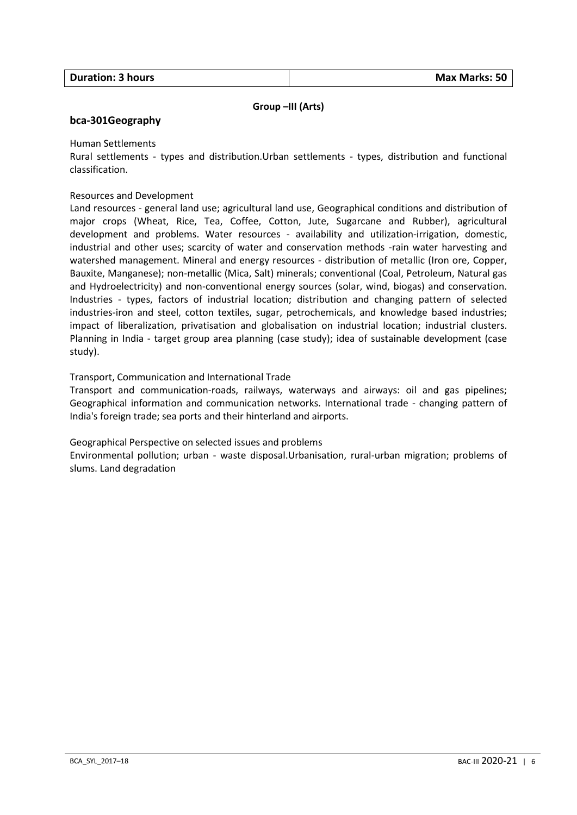#### **Group –III (Arts)**

#### **bca-301Geography**

Human Settlements

Rural settlements - types and distribution.Urban settlements - types, distribution and functional classification.

#### Resources and Development

Land resources - general land use; agricultural land use, Geographical conditions and distribution of major crops (Wheat, Rice, Tea, Coffee, Cotton, Jute, Sugarcane and Rubber), agricultural development and problems. Water resources - availability and utilization-irrigation, domestic, industrial and other uses; scarcity of water and conservation methods -rain water harvesting and watershed management. Mineral and energy resources - distribution of metallic (Iron ore, Copper, Bauxite, Manganese); non-metallic (Mica, Salt) minerals; conventional (Coal, Petroleum, Natural gas and Hydroelectricity) and non-conventional energy sources (solar, wind, biogas) and conservation. Industries - types, factors of industrial location; distribution and changing pattern of selected industries-iron and steel, cotton textiles, sugar, petrochemicals, and knowledge based industries; impact of liberalization, privatisation and globalisation on industrial location; industrial clusters. Planning in India - target group area planning (case study); idea of sustainable development (case study).

#### Transport, Communication and International Trade

Transport and communication-roads, railways, waterways and airways: oil and gas pipelines; Geographical information and communication networks. International trade - changing pattern of India's foreign trade; sea ports and their hinterland and airports.

#### Geographical Perspective on selected issues and problems

Environmental pollution; urban - waste disposal.Urbanisation, rural-urban migration; problems of slums. Land degradation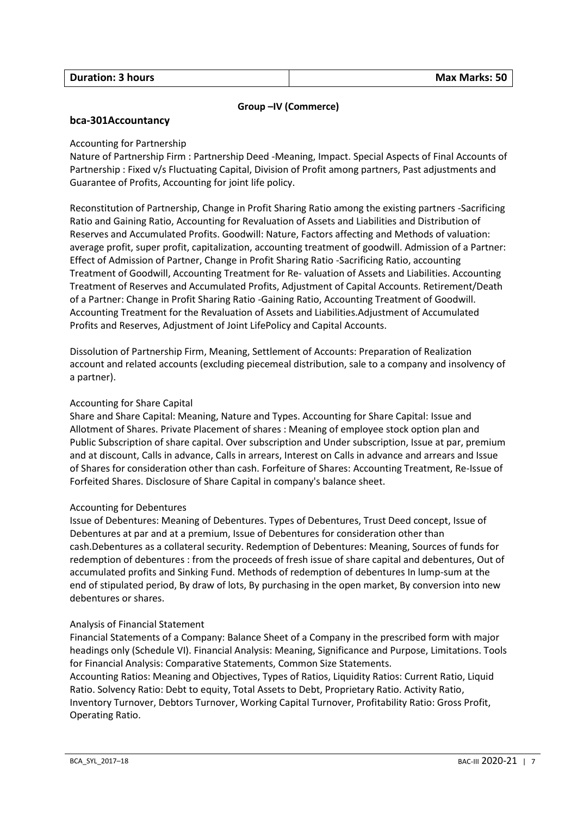| <b>Duration: 3 hours</b> | <b>Max Marks: 50</b> |
|--------------------------|----------------------|
|                          |                      |

## **Group –IV (Commerce)**

## **bca-301Accountancy**

## Accounting for Partnership

Nature of Partnership Firm : Partnership Deed -Meaning, Impact. Special Aspects of Final Accounts of Partnership : Fixed v/s Fluctuating Capital, Division of Profit among partners, Past adjustments and Guarantee of Profits, Accounting for joint life policy.

Reconstitution of Partnership, Change in Profit Sharing Ratio among the existing partners -Sacrificing Ratio and Gaining Ratio, Accounting for Revaluation of Assets and Liabilities and Distribution of Reserves and Accumulated Profits. Goodwill: Nature, Factors affecting and Methods of valuation: average profit, super profit, capitalization, accounting treatment of goodwill. Admission of a Partner: Effect of Admission of Partner, Change in Profit Sharing Ratio -Sacrificing Ratio, accounting Treatment of Goodwill, Accounting Treatment for Re- valuation of Assets and Liabilities. Accounting Treatment of Reserves and Accumulated Profits, Adjustment of Capital Accounts. Retirement/Death of a Partner: Change in Profit Sharing Ratio -Gaining Ratio, Accounting Treatment of Goodwill. Accounting Treatment for the Revaluation of Assets and Liabilities.Adjustment of Accumulated Profits and Reserves, Adjustment of Joint LifePolicy and Capital Accounts.

Dissolution of Partnership Firm, Meaning, Settlement of Accounts: Preparation of Realization account and related accounts (excluding piecemeal distribution, sale to a company and insolvency of a partner).

## Accounting for Share Capital

Share and Share Capital: Meaning, Nature and Types. Accounting for Share Capital: Issue and Allotment of Shares. Private Placement of shares : Meaning of employee stock option plan and Public Subscription of share capital. Over subscription and Under subscription, Issue at par, premium and at discount, Calls in advance, Calls in arrears, Interest on Calls in advance and arrears and Issue of Shares for consideration other than cash. Forfeiture of Shares: Accounting Treatment, Re-Issue of Forfeited Shares. Disclosure of Share Capital in company's balance sheet.

#### Accounting for Debentures

Issue of Debentures: Meaning of Debentures. Types of Debentures, Trust Deed concept, Issue of Debentures at par and at a premium, Issue of Debentures for consideration other than cash.Debentures as a collateral security. Redemption of Debentures: Meaning, Sources of funds for redemption of debentures : from the proceeds of fresh issue of share capital and debentures, Out of accumulated profits and Sinking Fund. Methods of redemption of debentures In lump-sum at the end of stipulated period, By draw of lots, By purchasing in the open market, By conversion into new debentures or shares.

## Analysis of Financial Statement

Financial Statements of a Company: Balance Sheet of a Company in the prescribed form with major headings only (Schedule VI). Financial Analysis: Meaning, Significance and Purpose, Limitations. Tools for Financial Analysis: Comparative Statements, Common Size Statements.

Accounting Ratios: Meaning and Objectives, Types of Ratios, Liquidity Ratios: Current Ratio, Liquid Ratio. Solvency Ratio: Debt to equity, Total Assets to Debt, Proprietary Ratio. Activity Ratio, Inventory Turnover, Debtors Turnover, Working Capital Turnover, Profitability Ratio: Gross Profit, Operating Ratio.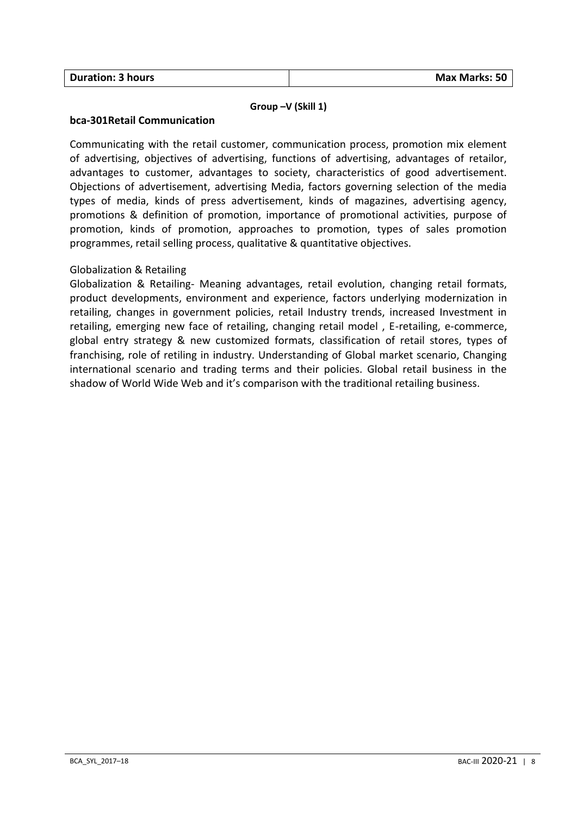## **Group –V (Skill 1)**

## **bca-301Retail Communication**

Communicating with the retail customer, communication process, promotion mix element of advertising, objectives of advertising, functions of advertising, advantages of retailor, advantages to customer, advantages to society, characteristics of good advertisement. Objections of advertisement, advertising Media, factors governing selection of the media types of media, kinds of press advertisement, kinds of magazines, advertising agency, promotions & definition of promotion, importance of promotional activities, purpose of promotion, kinds of promotion, approaches to promotion, types of sales promotion programmes, retail selling process, qualitative & quantitative objectives.

## Globalization & Retailing

Globalization & Retailing- Meaning advantages, retail evolution, changing retail formats, product developments, environment and experience, factors underlying modernization in retailing, changes in government policies, retail Industry trends, increased Investment in retailing, emerging new face of retailing, changing retail model , E-retailing, e-commerce, global entry strategy & new customized formats, classification of retail stores, types of franchising, role of retiling in industry. Understanding of Global market scenario, Changing international scenario and trading terms and their policies. Global retail business in the shadow of World Wide Web and it's comparison with the traditional retailing business.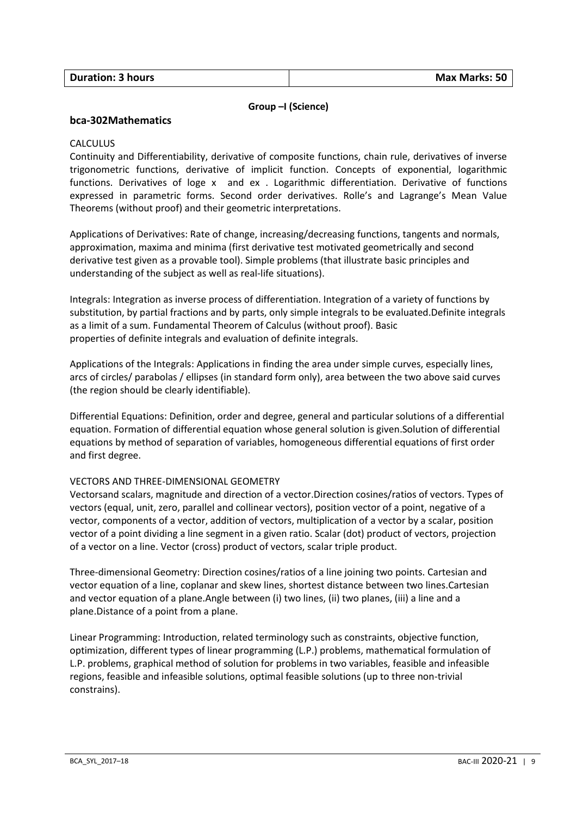| <b>Duration: 3 hours</b> | <b>Max Marks: 50</b> |
|--------------------------|----------------------|
|                          |                      |

## **Group –I (Science)**

## **bca-302Mathematics**

#### CALCULUS

Continuity and Differentiability, derivative of composite functions, chain rule, derivatives of inverse trigonometric functions, derivative of implicit function. Concepts of exponential, logarithmic functions. Derivatives of loge x and ex . Logarithmic differentiation. Derivative of functions expressed in parametric forms. Second order derivatives. Rolle's and Lagrange's Mean Value Theorems (without proof) and their geometric interpretations.

Applications of Derivatives: Rate of change, increasing/decreasing functions, tangents and normals, approximation, maxima and minima (first derivative test motivated geometrically and second derivative test given as a provable tool). Simple problems (that illustrate basic principles and understanding of the subject as well as real-life situations).

Integrals: Integration as inverse process of differentiation. Integration of a variety of functions by substitution, by partial fractions and by parts, only simple integrals to be evaluated.Definite integrals as a limit of a sum. Fundamental Theorem of Calculus (without proof). Basic properties of definite integrals and evaluation of definite integrals.

Applications of the Integrals: Applications in finding the area under simple curves, especially lines, arcs of circles/ parabolas / ellipses (in standard form only), area between the two above said curves (the region should be clearly identifiable).

Differential Equations: Definition, order and degree, general and particular solutions of a differential equation. Formation of differential equation whose general solution is given.Solution of differential equations by method of separation of variables, homogeneous differential equations of first order and first degree.

#### VECTORS AND THREE-DIMENSIONAL GEOMETRY

Vectorsand scalars, magnitude and direction of a vector.Direction cosines/ratios of vectors. Types of vectors (equal, unit, zero, parallel and collinear vectors), position vector of a point, negative of a vector, components of a vector, addition of vectors, multiplication of a vector by a scalar, position vector of a point dividing a line segment in a given ratio. Scalar (dot) product of vectors, projection of a vector on a line. Vector (cross) product of vectors, scalar triple product.

Three-dimensional Geometry: Direction cosines/ratios of a line joining two points. Cartesian and vector equation of a line, coplanar and skew lines, shortest distance between two lines.Cartesian and vector equation of a plane.Angle between (i) two lines, (ii) two planes, (iii) a line and a plane.Distance of a point from a plane.

Linear Programming: Introduction, related terminology such as constraints, objective function, optimization, different types of linear programming (L.P.) problems, mathematical formulation of L.P. problems, graphical method of solution for problems in two variables, feasible and infeasible regions, feasible and infeasible solutions, optimal feasible solutions (up to three non-trivial constrains).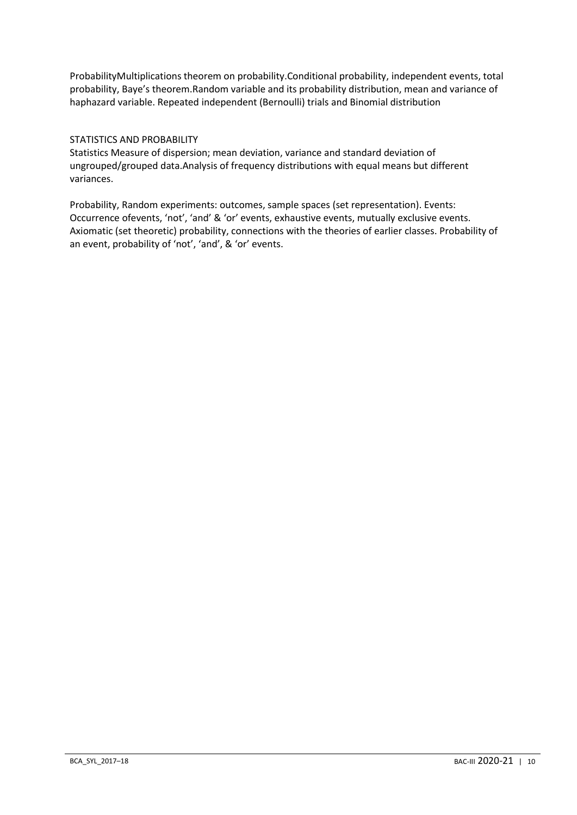ProbabilityMultiplications theorem on probability.Conditional probability, independent events, total probability, Baye's theorem.Random variable and its probability distribution, mean and variance of haphazard variable. Repeated independent (Bernoulli) trials and Binomial distribution

## STATISTICS AND PROBABILITY

Statistics Measure of dispersion; mean deviation, variance and standard deviation of ungrouped/grouped data.Analysis of frequency distributions with equal means but different variances.

Probability, Random experiments: outcomes, sample spaces (set representation). Events: Occurrence ofevents, 'not', 'and' & 'or' events, exhaustive events, mutually exclusive events. Axiomatic (set theoretic) probability, connections with the theories of earlier classes. Probability of an event, probability of 'not', 'and', & 'or' events.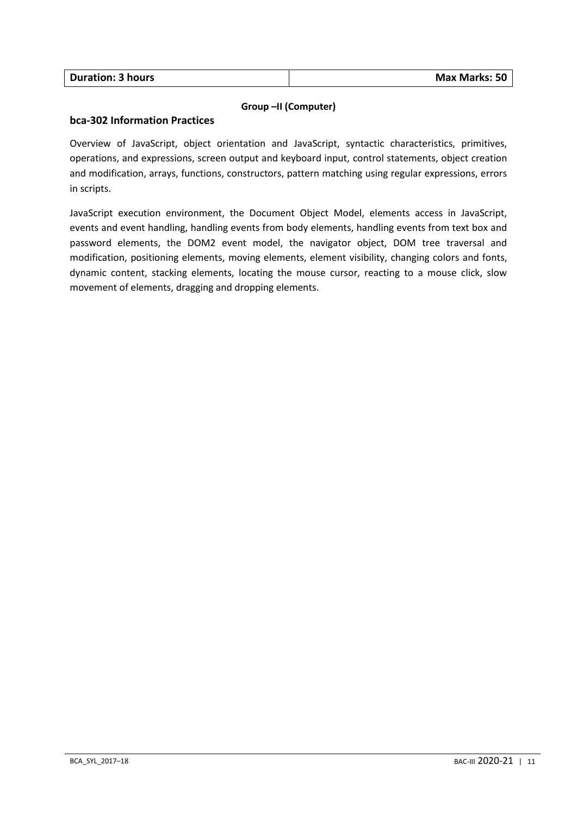| <b>Duration: 3 hours</b> | <b>Max Marks: 50</b> |
|--------------------------|----------------------|
|                          |                      |

## **Group –II (Computer)**

## **bca-302 Information Practices**

Overview of JavaScript, object orientation and JavaScript, syntactic characteristics, primitives, operations, and expressions, screen output and keyboard input, control statements, object creation and modification, arrays, functions, constructors, pattern matching using regular expressions, errors in scripts.

JavaScript execution environment, the Document Object Model, elements access in JavaScript, events and event handling, handling events from body elements, handling events from text box and password elements, the DOM2 event model, the navigator object, DOM tree traversal and modification, positioning elements, moving elements, element visibility, changing colors and fonts, dynamic content, stacking elements, locating the mouse cursor, reacting to a mouse click, slow movement of elements, dragging and dropping elements.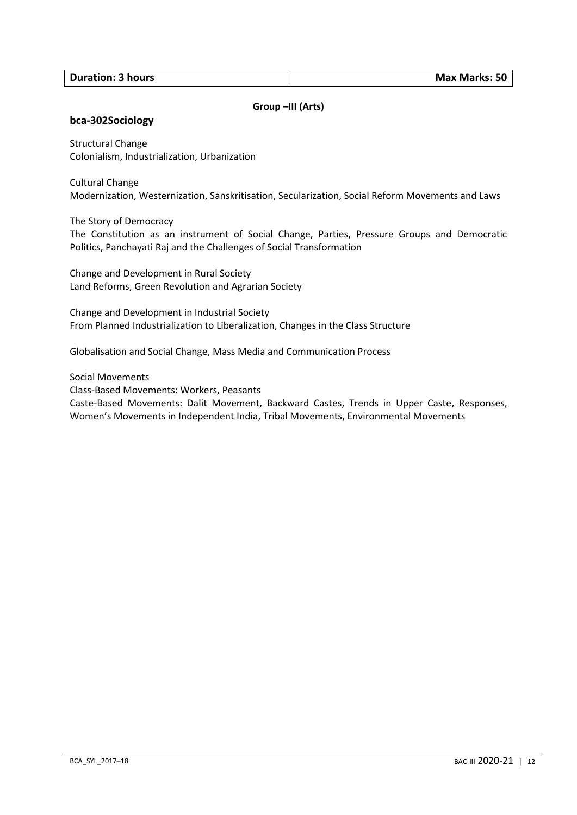## **Group –III (Arts)**

#### **bca-302Sociology**

Structural Change Colonialism, Industrialization, Urbanization

Cultural Change Modernization, Westernization, Sanskritisation, Secularization, Social Reform Movements and Laws

The Story of Democracy

The Constitution as an instrument of Social Change, Parties, Pressure Groups and Democratic Politics, Panchayati Raj and the Challenges of Social Transformation

Change and Development in Rural Society Land Reforms, Green Revolution and Agrarian Society

Change and Development in Industrial Society From Planned Industrialization to Liberalization, Changes in the Class Structure

Globalisation and Social Change, Mass Media and Communication Process

Social Movements Class-Based Movements: Workers, Peasants Caste-Based Movements: Dalit Movement, Backward Castes, Trends in Upper Caste, Responses, Women's Movements in Independent India, Tribal Movements, Environmental Movements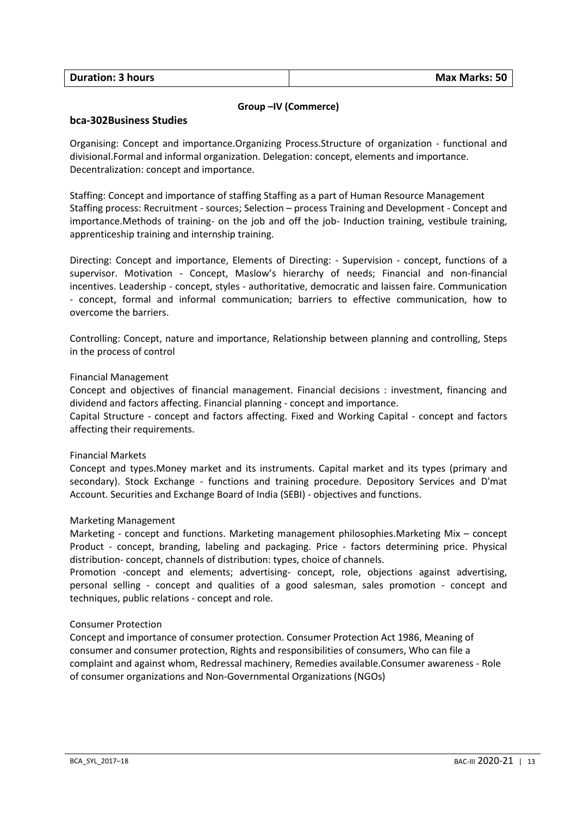| <b>Duration: 3 hours</b> | <b>Max Marks: 50</b> |
|--------------------------|----------------------|
|                          |                      |

## **Group –IV (Commerce)**

#### **bca-302Business Studies**

Organising: Concept and importance.Organizing Process.Structure of organization - functional and divisional.Formal and informal organization. Delegation: concept, elements and importance. Decentralization: concept and importance.

Staffing: Concept and importance of staffing Staffing as a part of Human Resource Management Staffing process: Recruitment - sources; Selection – process Training and Development - Concept and importance.Methods of training- on the job and off the job- Induction training, vestibule training, apprenticeship training and internship training.

Directing: Concept and importance, Elements of Directing: - Supervision - concept, functions of a supervisor. Motivation - Concept, Maslow's hierarchy of needs; Financial and non-financial incentives. Leadership - concept, styles - authoritative, democratic and laissen faire. Communication - concept, formal and informal communication; barriers to effective communication, how to overcome the barriers.

Controlling: Concept, nature and importance, Relationship between planning and controlling, Steps in the process of control

#### Financial Management

Concept and objectives of financial management. Financial decisions : investment, financing and dividend and factors affecting. Financial planning - concept and importance.

Capital Structure - concept and factors affecting. Fixed and Working Capital - concept and factors affecting their requirements.

#### Financial Markets

Concept and types.Money market and its instruments. Capital market and its types (primary and secondary). Stock Exchange - functions and training procedure. Depository Services and D'mat Account. Securities and Exchange Board of India (SEBI) - objectives and functions.

#### Marketing Management

Marketing - concept and functions. Marketing management philosophies.Marketing Mix – concept Product - concept, branding, labeling and packaging. Price - factors determining price. Physical distribution- concept, channels of distribution: types, choice of channels.

Promotion -concept and elements; advertising- concept, role, objections against advertising, personal selling - concept and qualities of a good salesman, sales promotion - concept and techniques, public relations - concept and role.

#### Consumer Protection

Concept and importance of consumer protection. Consumer Protection Act 1986, Meaning of consumer and consumer protection, Rights and responsibilities of consumers, Who can file a complaint and against whom, Redressal machinery, Remedies available.Consumer awareness - Role of consumer organizations and Non-Governmental Organizations (NGOs)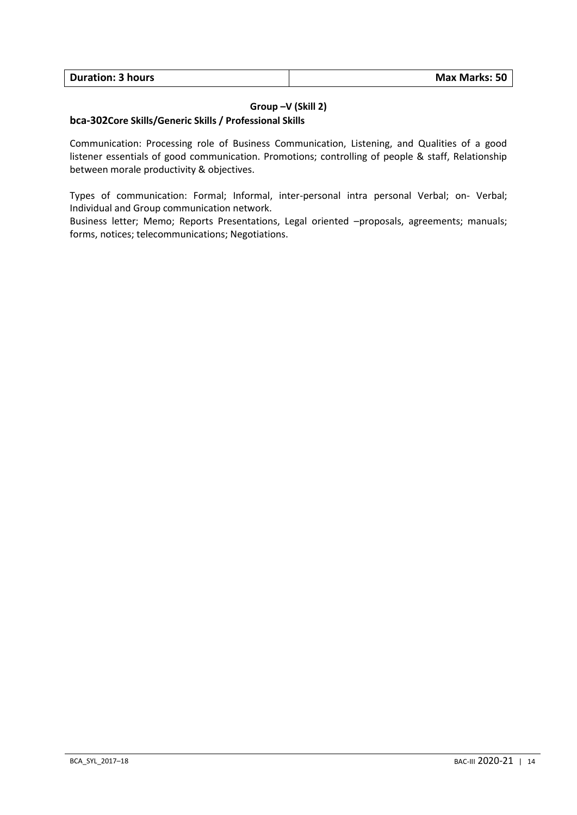# **Group –V (Skill 2)**

## **bca-302Core Skills/Generic Skills / Professional Skills**

Communication: Processing role of Business Communication, Listening, and Qualities of a good listener essentials of good communication. Promotions; controlling of people & staff, Relationship between morale productivity & objectives.

Types of communication: Formal; Informal, inter-personal intra personal Verbal; on- Verbal; Individual and Group communication network.

Business letter; Memo; Reports Presentations, Legal oriented –proposals, agreements; manuals; forms, notices; telecommunications; Negotiations.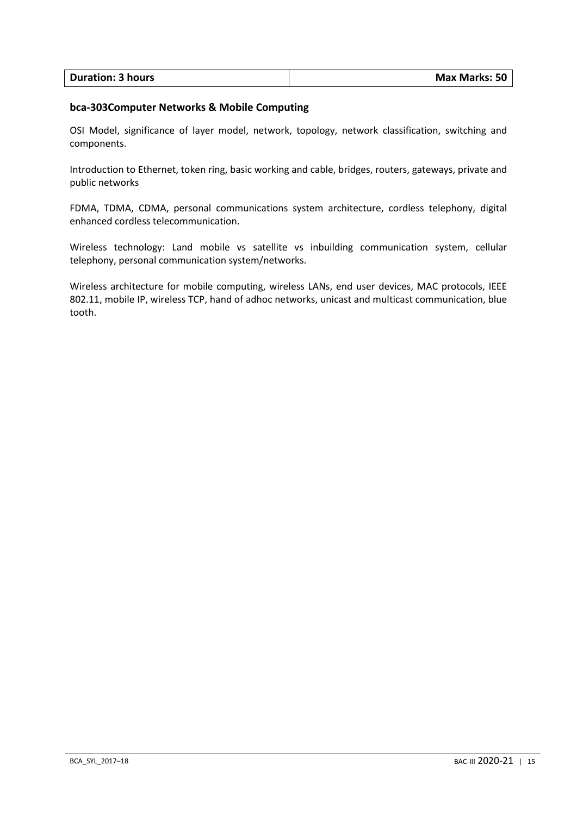| <b>Duration: 3 hours</b> | <b>Max Marks: 50</b> |
|--------------------------|----------------------|
|                          |                      |

## **bca-303Computer Networks & Mobile Computing**

OSI Model, significance of layer model, network, topology, network classification, switching and components.

Introduction to Ethernet, token ring, basic working and cable, bridges, routers, gateways, private and public networks

FDMA, TDMA, CDMA, personal communications system architecture, cordless telephony, digital enhanced cordless telecommunication.

Wireless technology: Land mobile vs satellite vs inbuilding communication system, cellular telephony, personal communication system/networks.

Wireless architecture for mobile computing, wireless LANs, end user devices, MAC protocols, IEEE 802.11, mobile IP, wireless TCP, hand of adhoc networks, unicast and multicast communication, blue tooth.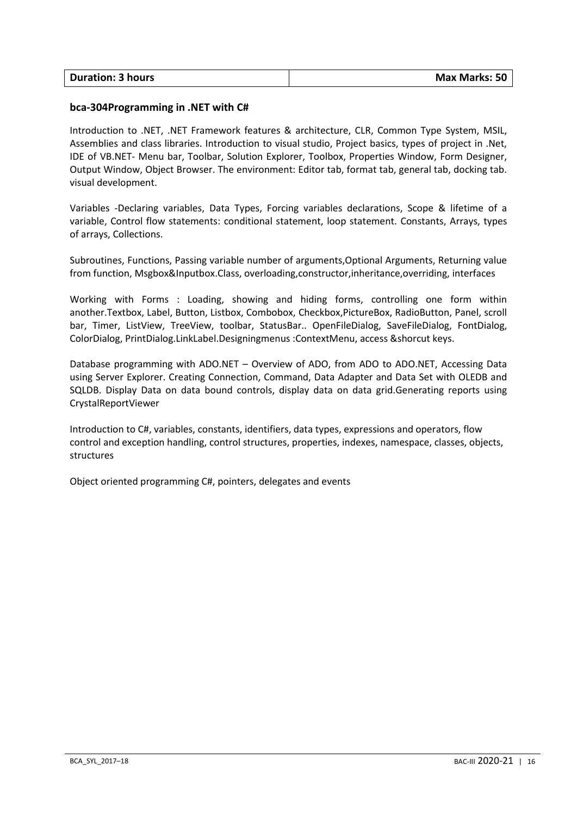| <b>Duration: 3 hours</b> | <b>Max Marks: 50</b> |
|--------------------------|----------------------|

## **bca-304Programming in .NET with C#**

Introduction to .NET, .NET Framework features & architecture, CLR, Common Type System, MSIL, Assemblies and class libraries. Introduction to visual studio, Project basics, types of project in .Net, IDE of VB.NET- Menu bar, Toolbar, Solution Explorer, Toolbox, Properties Window, Form Designer, Output Window, Object Browser. The environment: Editor tab, format tab, general tab, docking tab. visual development.

Variables -Declaring variables, Data Types, Forcing variables declarations, Scope & lifetime of a variable, Control flow statements: conditional statement, loop statement. Constants, Arrays, types of arrays, Collections.

Subroutines, Functions, Passing variable number of arguments,Optional Arguments, Returning value from function, Msgbox&Inputbox.Class, overloading,constructor,inheritance,overriding, interfaces

Working with Forms : Loading, showing and hiding forms, controlling one form within another.Textbox, Label, Button, Listbox, Combobox, Checkbox,PictureBox, RadioButton, Panel, scroll bar, Timer, ListView, TreeView, toolbar, StatusBar.. OpenFileDialog, SaveFileDialog, FontDialog, ColorDialog, PrintDialog.LinkLabel.Designingmenus :ContextMenu, access &shorcut keys.

Database programming with ADO.NET – Overview of ADO, from ADO to ADO.NET, Accessing Data using Server Explorer. Creating Connection, Command, Data Adapter and Data Set with OLEDB and SQLDB. Display Data on data bound controls, display data on data grid.Generating reports using CrystalReportViewer

Introduction to C#, variables, constants, identifiers, data types, expressions and operators, flow control and exception handling, control structures, properties, indexes, namespace, classes, objects, structures

Object oriented programming C#, pointers, delegates and events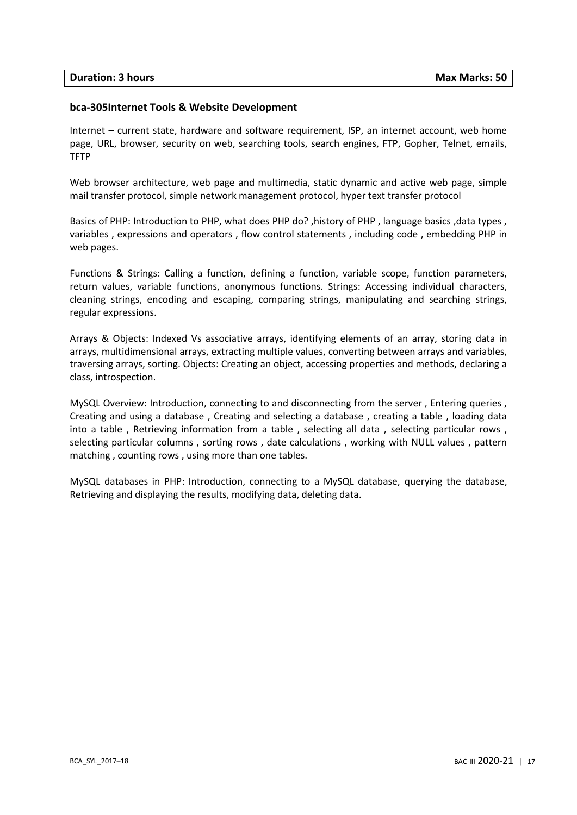## **bca-305Internet Tools & Website Development**

Internet – current state, hardware and software requirement, ISP, an internet account, web home page, URL, browser, security on web, searching tools, search engines, FTP, Gopher, Telnet, emails, **TFTP** 

Web browser architecture, web page and multimedia, static dynamic and active web page, simple mail transfer protocol, simple network management protocol, hyper text transfer protocol

Basics of PHP: Introduction to PHP, what does PHP do? , history of PHP, language basics, data types, variables , expressions and operators , flow control statements , including code , embedding PHP in web pages.

Functions & Strings: Calling a function, defining a function, variable scope, function parameters, return values, variable functions, anonymous functions. Strings: Accessing individual characters, cleaning strings, encoding and escaping, comparing strings, manipulating and searching strings, regular expressions.

Arrays & Objects: Indexed Vs associative arrays, identifying elements of an array, storing data in arrays, multidimensional arrays, extracting multiple values, converting between arrays and variables, traversing arrays, sorting. Objects: Creating an object, accessing properties and methods, declaring a class, introspection.

MySQL Overview: Introduction, connecting to and disconnecting from the server , Entering queries , Creating and using a database , Creating and selecting a database , creating a table , loading data into a table , Retrieving information from a table , selecting all data , selecting particular rows , selecting particular columns , sorting rows , date calculations , working with NULL values , pattern matching , counting rows , using more than one tables.

MySQL databases in PHP: Introduction, connecting to a MySQL database, querying the database, Retrieving and displaying the results, modifying data, deleting data.